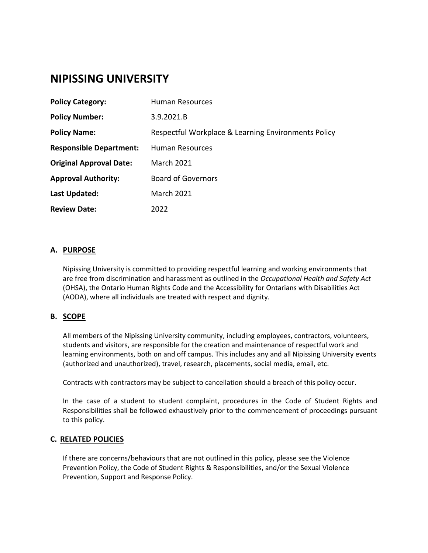# **NIPISSING UNIVERSITY**

| <b>Policy Category:</b>        | Human Resources                                     |
|--------------------------------|-----------------------------------------------------|
| <b>Policy Number:</b>          | 3.9.2021.B                                          |
| <b>Policy Name:</b>            | Respectful Workplace & Learning Environments Policy |
| <b>Responsible Department:</b> | Human Resources                                     |
| <b>Original Approval Date:</b> | <b>March 2021</b>                                   |
| <b>Approval Authority:</b>     | <b>Board of Governors</b>                           |
| Last Updated:                  | <b>March 2021</b>                                   |
| <b>Review Date:</b>            | 2022                                                |

# **A. PURPOSE**

Nipissing University is committed to providing respectful learning and working environments that are free from discrimination and harassment as outlined in the *Occupational Health and Safety Act* (OHSA), the Ontario Human Rights Code and the Accessibility for Ontarians with Disabilities Act (AODA), where all individuals are treated with respect and dignity*.*

# **B. SCOPE**

All members of the Nipissing University community, including employees, contractors, volunteers, students and visitors, are responsible for the creation and maintenance of respectful work and learning environments, both on and off campus. This includes any and all Nipissing University events (authorized and unauthorized), travel, research, placements, social media, email, etc.

Contracts with contractors may be subject to cancellation should a breach of this policy occur.

In the case of a student to student complaint, procedures in the Code of Student Rights and Responsibilities shall be followed exhaustively prior to the commencement of proceedings pursuant to this policy.

# **C. RELATED POLICIES**

If there are concerns/behaviours that are not outlined in this policy, please see the Violence Prevention Policy, the Code of Student Rights & Responsibilities, and/or the Sexual Violence Prevention, Support and Response Policy.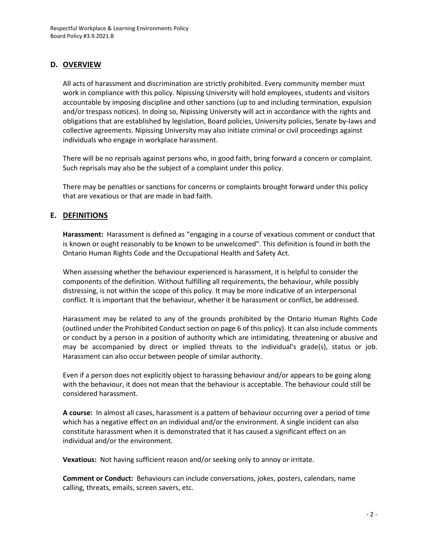# **D. OVERVIEW**

All acts of harassment and discrimination are strictly prohibited. Every community member must work in compliance with this policy. Nipissing University will hold employees, students and visitors accountable by imposing discipline and other sanctions (up to and including termination, expulsion and/or trespass notices). In doing so, Nipissing University will act in accordance with the rights and obligations that are established by legislation, Board policies, University policies, Senate by-laws and collective agreements. Nipissing University may also initiate criminal or civil proceedings against individuals who engage in workplace harassment.

There will be no reprisals against persons who, in good faith, bring forward a concern or complaint. Such reprisals may also be the subject of a complaint under this policy.

There may be penalties or sanctions for concerns or complaints brought forward under this policy that are vexatious or that are made in bad faith.

# **E. DEFINITIONS**

**Harassment:** Harassment is defined as "engaging in a course of vexatious comment or conduct that is known or ought reasonably to be known to be unwelcomed". This definition is found in both the Ontario Human Rights Code and the Occupational Health and Safety Act.

When assessing whether the behaviour experienced is harassment, it is helpful to consider the components of the definition. Without fulfilling all requirements, the behaviour, while possibly distressing, is not within the scope of this policy. It may be more indicative of an interpersonal conflict. It is important that the behaviour, whether it be harassment or conflict, be addressed.

Harassment may be related to any of the grounds prohibited by the Ontario Human Rights Code (outlined under the Prohibited Conduct section on page 6 of this policy). It can also include comments or conduct by a person in a position of authority which are intimidating, threatening or abusive and may be accompanied by direct or implied threats to the individual's grade(s), status or job. Harassment can also occur between people of similar authority.

Even if a person does not explicitly object to harassing behaviour and/or appears to be going along with the behaviour, it does not mean that the behaviour is acceptable. The behaviour could still be considered harassment.

**A course:** In almost all cases, harassment is a pattern of behaviour occurring over a period of time which has a negative effect on an individual and/or the environment. A single incident can also constitute harassment when it is demonstrated that it has caused a significant effect on an individual and/or the environment.

**Vexatious:** Not having sufficient reason and/or seeking only to annoy or irritate.

**Comment or Conduct:** Behaviours can include conversations, jokes, posters, calendars, name calling, threats, emails, screen savers, etc.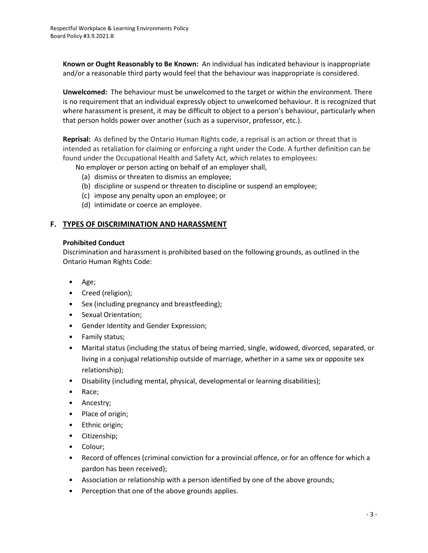**Known or Ought Reasonably to Be Known:** An individual has indicated behaviour is inappropriate and/or a reasonable third party would feel that the behaviour was inappropriate is considered.

**Unwelcomed:** The behaviour must be unwelcomed to the target or within the environment. There is no requirement that an individual expressly object to unwelcomed behaviour. It is recognized that where harassment is present, it may be difficult to object to a person's behaviour, particularly when that person holds power over another (such as a supervisor, professor, etc.).

**Reprisal:** As defined by the Ontario Human Rights code, a reprisal is an action or threat that is intended as retaliation for claiming or enforcing a right under the Code. A further definition can be found under the Occupational Health and Safety Act, which relates to employees:

No employer or person acting on behalf of an employer shall,

- (a) dismiss or threaten to dismiss an employee;
- (b) discipline or suspend or threaten to discipline or suspend an employee;
- (c) impose any penalty upon an employee; or
- (d) intimidate or coerce an employee.

# **F. TYPES OF DISCRIMINATION AND HARASSMENT**

## **Prohibited Conduct**

Discrimination and harassment is prohibited based on the following grounds, as outlined in the Ontario Human Rights Code:

- Age;
- Creed (religion);
- Sex (including pregnancy and breastfeeding);
- Sexual Orientation;
- Gender Identity and Gender Expression;
- Family status;
- Marital status (including the status of being married, single, widowed, divorced, separated, or living in a conjugal relationship outside of marriage, whether in a same sex or opposite sex relationship);
- Disability (including mental, physical, developmental or learning disabilities);
- Race;
- Ancestry;
- Place of origin;
- Ethnic origin;
- Citizenship;
- Colour;
- Record of offences (criminal conviction for a provincial offence, or for an offence for which a pardon has been received);
- Association or relationship with a person identified by one of the above grounds;
- Perception that one of the above grounds applies.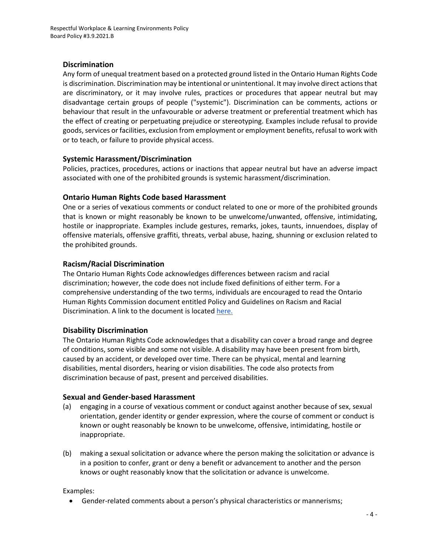# **Discrimination**

Any form of unequal treatment based on a protected ground listed in the Ontario Human Rights Code is discrimination. Discrimination may be intentional or unintentional. It may involve direct actions that are discriminatory, or it may involve rules, practices or procedures that appear neutral but may disadvantage certain groups of people ("systemic"). Discrimination can be comments, actions or behaviour that result in the unfavourable or adverse treatment or preferential treatment which has the effect of creating or perpetuating prejudice or stereotyping. Examples include refusal to provide goods, services or facilities, exclusion from employment or employment benefits, refusal to work with or to teach, or failure to provide physical access.

## **Systemic Harassment/Discrimination**

Policies, practices, procedures, actions or inactions that appear neutral but have an adverse impact associated with one of the prohibited grounds is systemic harassment/discrimination.

## **Ontario Human Rights Code based Harassment**

One or a series of vexatious comments or conduct related to one or more of the prohibited grounds that is known or might reasonably be known to be unwelcome/unwanted, offensive, intimidating, hostile or inappropriate. Examples include gestures, remarks, jokes, taunts, innuendoes, display of offensive materials, offensive graffiti, threats, verbal abuse, hazing, shunning or exclusion related to the prohibited grounds.

## **Racism/Racial Discrimination**

The Ontario Human Rights Code acknowledges differences between racism and racial discrimination; however, the code does not include fixed definitions of either term. For a comprehensive understanding of the two terms, individuals are encouraged to read the Ontario Human Rights Commission document entitled Policy and Guidelines on Racism and Racial Discrimination. A link to the document is located [here.](http://www3.ohrc.on.ca/sites/default/files/attachments/Policy_and_guidelines_on_racism_and_racial_discrimination.pdf)

# **Disability Discrimination**

The Ontario Human Rights Code acknowledges that a disability can cover a broad range and degree of conditions, some visible and some not visible. A disability may have been present from birth, caused by an accident, or developed over time. There can be physical, mental and learning disabilities, mental disorders, hearing or vision disabilities. The code also protects from discrimination because of past, present and perceived disabilities.

#### **Sexual and Gender-based Harassment**

- (a) engaging in a course of vexatious comment or conduct against another because of sex, sexual orientation, gender identity or gender expression, where the course of comment or conduct is known or ought reasonably be known to be unwelcome, offensive, intimidating, hostile or inappropriate.
- (b) making a sexual solicitation or advance where the person making the solicitation or advance is in a position to confer, grant or deny a benefit or advancement to another and the person knows or ought reasonably know that the solicitation or advance is unwelcome.

Examples:

• Gender-related comments about a person's physical characteristics or mannerisms;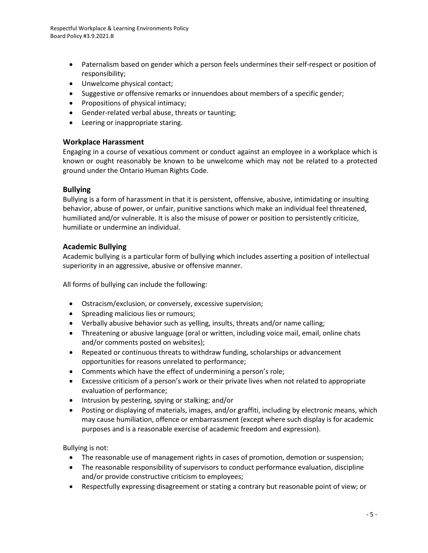- Paternalism based on gender which a person feels undermines their self-respect or position of responsibility;
- Unwelcome physical contact;
- Suggestive or offensive remarks or innuendoes about members of a specific gender;
- Propositions of physical intimacy;
- Gender-related verbal abuse, threats or taunting;
- Leering or inappropriate staring.

## **Workplace Harassment**

Engaging in a course of vexatious comment or conduct against an employee in a workplace which is known or ought reasonably be known to be unwelcome which may not be related to a protected ground under the Ontario Human Rights Code.

## **Bullying**

Bullying is a form of harassment in that it is persistent, offensive, abusive, intimidating or insulting behavior, abuse of power, or unfair, punitive sanctions which make an individual feel threatened, humiliated and/or vulnerable. It is also the misuse of power or position to persistently criticize, humiliate or undermine an individual.

## **Academic Bullying**

Academic bullying is a particular form of bullying which includes asserting a position of intellectual superiority in an aggressive, abusive or offensive manner.

All forms of bullying can include the following:

- Ostracism/exclusion, or conversely, excessive supervision;
- Spreading malicious lies or rumours;
- Verbally abusive behavior such as yelling, insults, threats and/or name calling;
- Threatening or abusive language (oral or written, including voice mail, email, online chats and/or comments posted on websites);
- Repeated or continuous threats to withdraw funding, scholarships or advancement opportunities for reasons unrelated to performance;
- Comments which have the effect of undermining a person's role;
- Excessive criticism of a person's work or their private lives when not related to appropriate evaluation of performance;
- Intrusion by pestering, spying or stalking; and/or
- Posting or displaying of materials, images, and/or graffiti, including by electronic means, which may cause humiliation, offence or embarrassment (except where such display is for academic purposes and is a reasonable exercise of academic freedom and expression).

Bullying is not:

- The reasonable use of management rights in cases of promotion, demotion or suspension;
- The reasonable responsibility of supervisors to conduct performance evaluation, discipline and/or provide constructive criticism to employees;
- Respectfully expressing disagreement or stating a contrary but reasonable point of view; or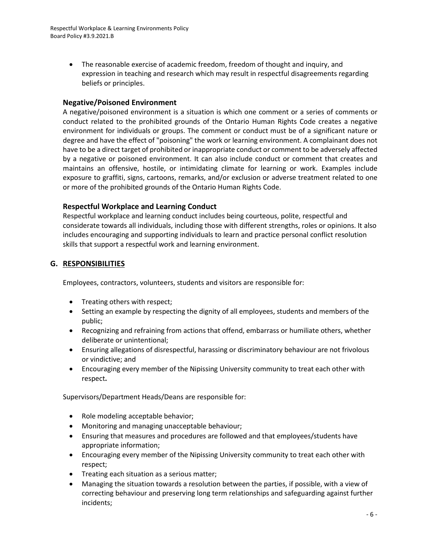• The reasonable exercise of academic freedom, freedom of thought and inquiry, and expression in teaching and research which may result in respectful disagreements regarding beliefs or principles.

# **Negative/Poisoned Environment**

A negative/poisoned environment is a situation is which one comment or a series of comments or conduct related to the prohibited grounds of the Ontario Human Rights Code creates a negative environment for individuals or groups. The comment or conduct must be of a significant nature or degree and have the effect of "poisoning" the work or learning environment. A complainant does not have to be a direct target of prohibited or inappropriate conduct or comment to be adversely affected by a negative or poisoned environment. It can also include conduct or comment that creates and maintains an offensive, hostile, or intimidating climate for learning or work. Examples include exposure to graffiti, signs, cartoons, remarks, and/or exclusion or adverse treatment related to one or more of the prohibited grounds of the Ontario Human Rights Code.

## **Respectful Workplace and Learning Conduct**

Respectful workplace and learning conduct includes being courteous, polite, respectful and considerate towards all individuals, including those with different strengths, roles or opinions. It also includes encouraging and supporting individuals to learn and practice personal conflict resolution skills that support a respectful work and learning environment.

## **G. RESPONSIBILITIES**

Employees, contractors, volunteers, students and visitors are responsible for:

- Treating others with respect;
- Setting an example by respecting the dignity of all employees, students and members of the public;
- Recognizing and refraining from actions that offend, embarrass or humiliate others, whether deliberate or unintentional;
- Ensuring allegations of disrespectful, harassing or discriminatory behaviour are not frivolous or vindictive; and
- Encouraging every member of the Nipissing University community to treat each other with respect**.**

Supervisors/Department Heads/Deans are responsible for:

- Role modeling acceptable behavior;
- Monitoring and managing unacceptable behaviour;
- Ensuring that measures and procedures are followed and that employees/students have appropriate information;
- Encouraging every member of the Nipissing University community to treat each other with respect;
- Treating each situation as a serious matter;
- Managing the situation towards a resolution between the parties, if possible, with a view of correcting behaviour and preserving long term relationships and safeguarding against further incidents;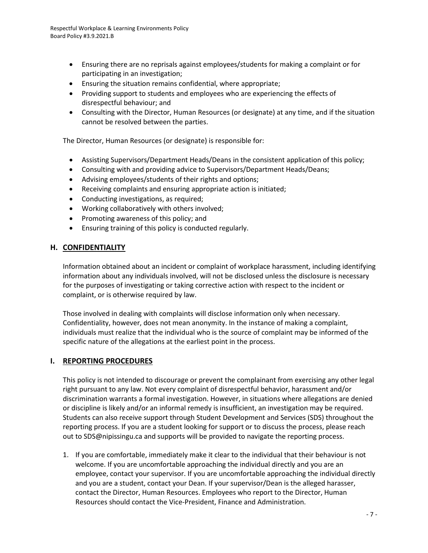- Ensuring there are no reprisals against employees/students for making a complaint or for participating in an investigation;
- Ensuring the situation remains confidential, where appropriate;
- Providing support to students and employees who are experiencing the effects of disrespectful behaviour; and
- Consulting with the Director, Human Resources (or designate) at any time, and if the situation cannot be resolved between the parties.

The Director, Human Resources (or designate) is responsible for:

- Assisting Supervisors/Department Heads/Deans in the consistent application of this policy;
- Consulting with and providing advice to Supervisors/Department Heads/Deans;
- Advising employees/students of their rights and options;
- Receiving complaints and ensuring appropriate action is initiated;
- Conducting investigations, as required;
- Working collaboratively with others involved;
- Promoting awareness of this policy; and
- Ensuring training of this policy is conducted regularly.

## **H. CONFIDENTIALITY**

Information obtained about an incident or complaint of workplace harassment, including identifying information about any individuals involved, will not be disclosed unless the disclosure is necessary for the purposes of investigating or taking corrective action with respect to the incident or complaint, or is otherwise required by law.

Those involved in dealing with complaints will disclose information only when necessary. Confidentiality, however, does not mean anonymity. In the instance of making a complaint, individuals must realize that the individual who is the source of complaint may be informed of the specific nature of the allegations at the earliest point in the process.

# **I. REPORTING PROCEDURES**

This policy is not intended to discourage or prevent the complainant from exercising any other legal right pursuant to any law. Not every complaint of disrespectful behavior, harassment and/or discrimination warrants a formal investigation. However, in situations where allegations are denied or discipline is likely and/or an informal remedy is insufficient, an investigation may be required. Students can also receive support through Student Development and Services (SDS) throughout the reporting process. If you are a student looking for support or to discuss the process, please reach out to SDS@nipissingu.ca and supports will be provided to navigate the reporting process.

1. If you are comfortable, immediately make it clear to the individual that their behaviour is not welcome. If you are uncomfortable approaching the individual directly and you are an employee, contact your supervisor. If you are uncomfortable approaching the individual directly and you are a student, contact your Dean. If your supervisor/Dean is the alleged harasser, contact the Director, Human Resources. Employees who report to the Director, Human Resources should contact the Vice-President, Finance and Administration.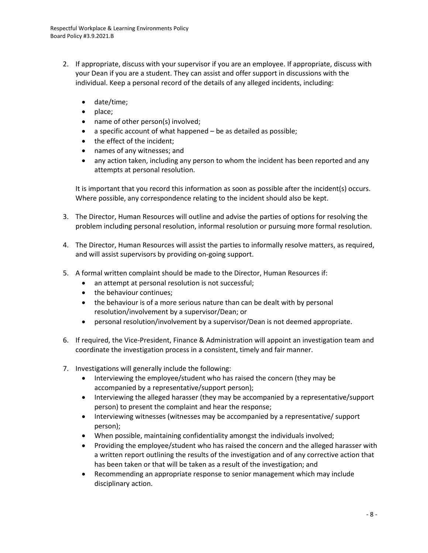- 2. If appropriate, discuss with your supervisor if you are an employee. If appropriate, discuss with your Dean if you are a student. They can assist and offer support in discussions with the individual. Keep a personal record of the details of any alleged incidents, including:
	- date/time;
	- place;
	- name of other person(s) involved;
	- $\bullet$  a specific account of what happened be as detailed as possible;
	- the effect of the incident;
	- names of any witnesses; and
	- any action taken, including any person to whom the incident has been reported and any attempts at personal resolution.

It is important that you record this information as soon as possible after the incident(s) occurs. Where possible, any correspondence relating to the incident should also be kept.

- 3. The Director, Human Resources will outline and advise the parties of options for resolving the problem including personal resolution, informal resolution or pursuing more formal resolution.
- 4. The Director, Human Resources will assist the parties to informally resolve matters, as required, and will assist supervisors by providing on-going support.
- 5. A formal written complaint should be made to the Director, Human Resources if:
	- an attempt at personal resolution is not successful;
	- the behaviour continues;
	- the behaviour is of a more serious nature than can be dealt with by personal resolution/involvement by a supervisor/Dean; or
	- personal resolution/involvement by a supervisor/Dean is not deemed appropriate.
- 6. If required, the Vice-President, Finance & Administration will appoint an investigation team and coordinate the investigation process in a consistent, timely and fair manner.
- 7. Investigations will generally include the following:
	- Interviewing the employee/student who has raised the concern (they may be accompanied by a representative/support person);
	- Interviewing the alleged harasser (they may be accompanied by a representative/support person) to present the complaint and hear the response;
	- Interviewing witnesses (witnesses may be accompanied by a representative/ support person);
	- When possible, maintaining confidentiality amongst the individuals involved;
	- Providing the employee/student who has raised the concern and the alleged harasser with a written report outlining the results of the investigation and of any corrective action that has been taken or that will be taken as a result of the investigation; and
	- Recommending an appropriate response to senior management which may include disciplinary action.